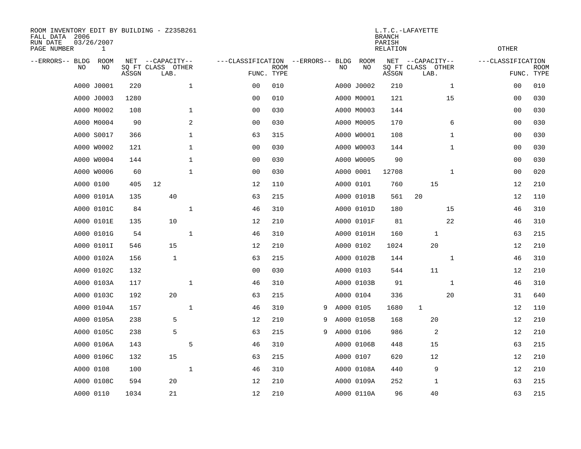| ROOM INVENTORY EDIT BY BUILDING - Z235B261<br>FALL DATA 2006<br>RUN DATE<br>PAGE NUMBER | 03/26/2007<br>1 |       |                                               |                                   | L.T.C.-LAFAYETTE<br><b>BRANCH</b><br>PARISH<br>RELATION |   |    |            |       |                                               |                   |                           |  |
|-----------------------------------------------------------------------------------------|-----------------|-------|-----------------------------------------------|-----------------------------------|---------------------------------------------------------|---|----|------------|-------|-----------------------------------------------|-------------------|---------------------------|--|
| --ERRORS-- BLDG<br>NO                                                                   | ROOM<br>NO      | ASSGN | NET --CAPACITY--<br>SQ FT CLASS OTHER<br>LAB. | ---CLASSIFICATION --ERRORS-- BLDG | <b>ROOM</b><br>FUNC. TYPE                               |   | NO | ROOM<br>NO | ASSGN | NET --CAPACITY--<br>SQ FT CLASS OTHER<br>LAB. | ---CLASSIFICATION | <b>ROOM</b><br>FUNC. TYPE |  |
|                                                                                         | A000 J0001      | 220   | $\mathbf{1}$                                  | 0 <sub>0</sub>                    | 010                                                     |   |    | A000 J0002 | 210   | $\mathbf{1}$                                  | 00                | 010                       |  |
|                                                                                         | A000 J0003      | 1280  |                                               | 0 <sub>0</sub>                    | 010                                                     |   |    | A000 M0001 | 121   | 15                                            | 0 <sub>0</sub>    | 030                       |  |
|                                                                                         | A000 M0002      | 108   | $\mathbf 1$                                   | 0 <sub>0</sub>                    | 030                                                     |   |    | A000 M0003 | 144   |                                               | 00                | 030                       |  |
|                                                                                         | A000 M0004      | 90    | 2                                             | 0 <sub>0</sub>                    | 030                                                     |   |    | A000 M0005 | 170   | 6                                             | 00                | 030                       |  |
|                                                                                         | A000 S0017      | 366   | $\mathbf 1$                                   | 63                                | 315                                                     |   |    | A000 W0001 | 108   | $\mathbf{1}$                                  | 00                | 030                       |  |
|                                                                                         | A000 W0002      | 121   | 1                                             | 0 <sub>0</sub>                    | 030                                                     |   |    | A000 W0003 | 144   | $\mathbf{1}$                                  | 00                | 030                       |  |
|                                                                                         | A000 W0004      | 144   | $\mathbf 1$                                   | 0 <sub>0</sub>                    | 030                                                     |   |    | A000 W0005 | 90    |                                               | 00                | 030                       |  |
|                                                                                         | A000 W0006      | 60    | $\mathbf 1$                                   | 0 <sub>0</sub>                    | 030                                                     |   |    | A000 0001  | 12708 | $\mathbf{1}$                                  | 00                | 020                       |  |
|                                                                                         | A000 0100       | 405   | 12                                            | 12                                | 110                                                     |   |    | A000 0101  | 760   | 15                                            | 12                | 210                       |  |
|                                                                                         | A000 0101A      | 135   | 40                                            | 63                                | 215                                                     |   |    | A000 0101B | 561   | 20                                            | 12                | 110                       |  |
|                                                                                         | A000 0101C      | 84    | $\mathbf 1$                                   | 46                                | 310                                                     |   |    | A000 0101D | 180   | 15                                            | 46                | 310                       |  |
|                                                                                         | A000 0101E      | 135   | 10                                            | 12                                | 210                                                     |   |    | A000 0101F | 81    | 22                                            | 46                | 310                       |  |
|                                                                                         | A000 0101G      | 54    | $\mathbf{1}$                                  | 46                                | 310                                                     |   |    | A000 0101H | 160   | 1                                             | 63                | 215                       |  |
|                                                                                         | A000 0101I      | 546   | 15                                            | 12                                | 210                                                     |   |    | A000 0102  | 1024  | 20                                            | 12                | 210                       |  |
|                                                                                         | A000 0102A      | 156   | $\mathbf{1}$                                  | 63                                | 215                                                     |   |    | A000 0102B | 144   | $\mathbf{1}$                                  | 46                | 310                       |  |
|                                                                                         | A000 0102C      | 132   |                                               | 0 <sub>0</sub>                    | 030                                                     |   |    | A000 0103  | 544   | 11                                            | 12                | 210                       |  |
|                                                                                         | A000 0103A      | 117   | $\mathbf{1}$                                  | 46                                | 310                                                     |   |    | A000 0103B | 91    | $\mathbf{1}$                                  | 46                | 310                       |  |
|                                                                                         | A000 0103C      | 192   | 20                                            | 63                                | 215                                                     |   |    | A000 0104  | 336   | 20                                            | 31                | 640                       |  |
|                                                                                         | A000 0104A      | 157   | $\mathbf{1}$                                  | 46                                | 310                                                     | 9 |    | A000 0105  | 1680  | $\mathbf{1}$                                  | 12                | 110                       |  |
|                                                                                         | A000 0105A      | 238   | 5                                             | 12                                | 210                                                     | 9 |    | A000 0105B | 168   | 20                                            | 12                | 210                       |  |
|                                                                                         | A000 0105C      | 238   | 5                                             | 63                                | 215                                                     | 9 |    | A000 0106  | 986   | 2                                             | 12                | 210                       |  |
|                                                                                         | A000 0106A      | 143   | 5                                             | 46                                | 310                                                     |   |    | A000 0106B | 448   | 15                                            | 63                | 215                       |  |
|                                                                                         | A000 0106C      | 132   | 15                                            | 63                                | 215                                                     |   |    | A000 0107  | 620   | 12                                            | 12                | 210                       |  |
|                                                                                         | A000 0108       | 100   | $\mathbf{1}$                                  | 46                                | 310                                                     |   |    | A000 0108A | 440   | 9                                             | 12                | 210                       |  |
|                                                                                         | A000 0108C      | 594   | 20                                            | 12                                | 210                                                     |   |    | A000 0109A | 252   | $\mathbf 1$                                   | 63                | 215                       |  |
|                                                                                         | A000 0110       | 1034  | 21                                            | 12                                | 210                                                     |   |    | A000 0110A | 96    | 40                                            | 63                | 215                       |  |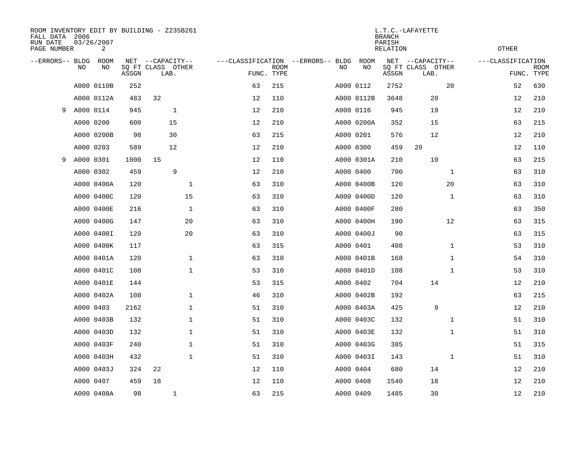| FALL DATA 2006<br>RUN DATE<br>PAGE NUMBER |           | 03/26/2007<br>2 |       | ROOM INVENTORY EDIT BY BUILDING - Z235B261    |                                   | L.T.C.-LAFAYETTE<br><b>BRANCH</b><br>PARISH<br><b>RELATION</b> |  |           |            |       |                                               |              |                                 |             |
|-------------------------------------------|-----------|-----------------|-------|-----------------------------------------------|-----------------------------------|----------------------------------------------------------------|--|-----------|------------|-------|-----------------------------------------------|--------------|---------------------------------|-------------|
| --ERRORS-- BLDG                           | <b>NO</b> | ROOM<br>NO      | ASSGN | NET --CAPACITY--<br>SQ FT CLASS OTHER<br>LAB. | ---CLASSIFICATION --ERRORS-- BLDG | <b>ROOM</b><br>FUNC. TYPE                                      |  | NO        | ROOM<br>NO | ASSGN | NET --CAPACITY--<br>SQ FT CLASS OTHER<br>LAB. |              | ---CLASSIFICATION<br>FUNC. TYPE | <b>ROOM</b> |
|                                           |           | A000 0110B      | 252   |                                               | 63                                | 215                                                            |  | A000 0112 |            | 2752  |                                               | 20           | 52                              | 630         |
|                                           |           | A000 0112A      | 483   | 32                                            | 12                                | 110                                                            |  |           | A000 0112B | 3648  | 20                                            |              | 12                              | 210         |
| 9                                         |           | A000 0114       | 945   | $\mathbf{1}$                                  | 12                                | 210                                                            |  | A000 0116 |            | 945   | 19                                            |              | 12                              | 210         |
|                                           |           | A000 0200       | 600   | 15                                            | 12                                | 210                                                            |  |           | A000 0200A | 352   | 15                                            |              | 63                              | 215         |
|                                           |           | A000 0200B      | 98    | 30                                            | 63                                | 215                                                            |  | A000 0201 |            | 576   | 12                                            |              | 12                              | 210         |
|                                           |           | A000 0203       | 589   | 12                                            | 12                                | 210                                                            |  | A000 0300 |            | 459   | 20                                            |              | 12                              | 110         |
| 9                                         |           | A000 0301       | 1000  | 15                                            | 12                                | 110                                                            |  |           | A000 0301A | 210   | 10                                            |              | 63                              | 215         |
|                                           |           | A000 0302       | 459   | 9                                             | 12                                | 210                                                            |  | A000 0400 |            | 700   |                                               | $\mathbf{1}$ | 63                              | 310         |
|                                           |           | A000 0400A      | 120   | $\mathbf{1}$                                  | 63                                | 310                                                            |  |           | A000 0400B | 120   |                                               | 20           | 63                              | 310         |
|                                           |           | A000 0400C      | 120   | 15                                            | 63                                | 310                                                            |  |           | A000 0400D | 120   |                                               | $\mathbf{1}$ | 63                              | 310         |
|                                           |           | A000 0400E      | 216   | $\mathbf 1$                                   | 63                                | 310                                                            |  |           | A000 0400F | 280   |                                               |              | 63                              | 350         |
|                                           |           | A000 0400G      | 147   | 20                                            | 63                                | 310                                                            |  |           | A000 0400H | 190   |                                               | 12           | 63                              | 315         |
|                                           |           | A000 0400I      | 120   | 20                                            | 63                                | 310                                                            |  |           | A000 0400J | 90    |                                               |              | 63                              | 315         |
|                                           |           | A000 0400K      | 117   |                                               | 63                                | 315                                                            |  | A000 0401 |            | 408   |                                               | $\mathbf{1}$ | 53                              | 310         |
|                                           |           | A000 0401A      | 120   | 1                                             | 63                                | 310                                                            |  |           | A000 0401B | 168   |                                               | $\mathbf{1}$ | 54                              | 310         |
|                                           |           | A000 0401C      | 108   | $\mathbf 1$                                   | 53                                | 310                                                            |  |           | A000 0401D | 108   |                                               | $\mathbf{1}$ | 53                              | 310         |
|                                           |           | A000 0401E      | 144   |                                               | 53                                | 315                                                            |  | A000 0402 |            | 704   | 14                                            |              | 12                              | 210         |
|                                           |           | A000 0402A      | 108   | $\mathbf 1$                                   | 46                                | 310                                                            |  |           | A000 0402B | 192   |                                               |              | 63                              | 215         |
|                                           |           | A000 0403       | 2162  | 1                                             | 51                                | 310                                                            |  |           | A000 0403A | 425   | 9                                             |              | 12                              | 210         |
|                                           |           | A000 0403B      | 132   | 1                                             | 51                                | 310                                                            |  |           | A000 0403C | 132   |                                               | $\mathbf{1}$ | 51                              | 310         |
|                                           |           | A000 0403D      | 132   | 1                                             | 51                                | 310                                                            |  |           | A000 0403E | 132   |                                               | $\mathbf{1}$ | 51                              | 310         |
|                                           |           | A000 0403F      | 240   | $\mathbf 1$                                   | 51                                | 310                                                            |  |           | A000 0403G | 385   |                                               |              | 51                              | 315         |
|                                           |           | A000 0403H      | 432   | $\mathbf{1}$                                  | 51                                | 310                                                            |  |           | A000 0403I | 143   |                                               | $\mathbf{1}$ | 51                              | 310         |
|                                           |           | A000 0403J      | 324   | 22                                            | 12                                | 110                                                            |  | A000 0404 |            | 680   | 14                                            |              | 12                              | 210         |
|                                           |           | A000 0407       | 459   | 18                                            | 12                                | 110                                                            |  | A000 0408 |            | 1540  | 18                                            |              | 12                              | 210         |
|                                           |           | A000 0408A      | 98    | 1                                             | 63                                | 215                                                            |  | A000 0409 |            | 1485  | 30                                            |              | 12                              | 210         |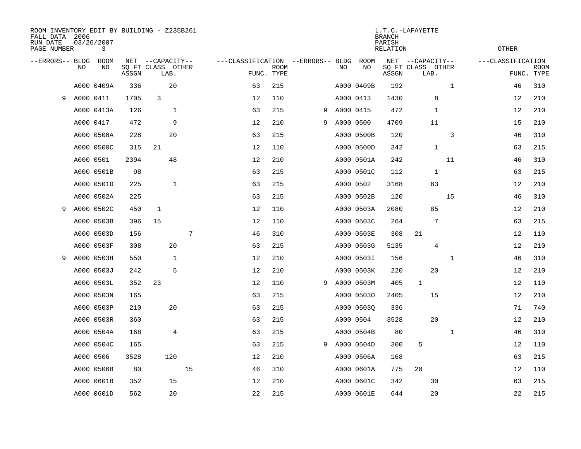| ROOM INVENTORY EDIT BY BUILDING - Z235B261<br>FALL DATA 2006<br>RUN DATE<br>PAGE NUMBER |           | 03/26/2007<br>3 |       |                                               |    |                                   | L.T.C.-LAFAYETTE<br><b>BRANCH</b><br>PARISH<br><b>OTHER</b><br>RELATION |   |           |            |       |                                               |              |                   |                           |
|-----------------------------------------------------------------------------------------|-----------|-----------------|-------|-----------------------------------------------|----|-----------------------------------|-------------------------------------------------------------------------|---|-----------|------------|-------|-----------------------------------------------|--------------|-------------------|---------------------------|
| --ERRORS-- BLDG                                                                         | <b>NO</b> | ROOM<br>NO      | ASSGN | NET --CAPACITY--<br>SQ FT CLASS OTHER<br>LAB. |    | ---CLASSIFICATION --ERRORS-- BLDG | <b>ROOM</b><br>FUNC. TYPE                                               |   | NO        | ROOM<br>NO | ASSGN | NET --CAPACITY--<br>SQ FT CLASS OTHER<br>LAB. |              | ---CLASSIFICATION | <b>ROOM</b><br>FUNC. TYPE |
|                                                                                         |           | A000 0409A      | 336   | 20                                            |    | 63                                | 215                                                                     |   |           | A000 0409B | 192   |                                               | $\mathbf{1}$ | 46                | 310                       |
| 9                                                                                       | A000 0411 |                 | 1705  | 3                                             |    | 12                                | 110                                                                     |   |           | A000 0413  | 1430  | 8                                             |              | 12                | 210                       |
|                                                                                         |           | A000 0413A      | 126   | 1                                             |    | 63                                | 215                                                                     | 9 | A000 0415 |            | 472   | $\mathbf{1}$                                  |              | 12                | 210                       |
|                                                                                         |           | A000 0417       | 472   | 9                                             |    | 12                                | 210                                                                     | 9 | A000 0500 |            | 4709  | 11                                            |              | 15                | 210                       |
|                                                                                         |           | A000 0500A      | 228   | 20                                            |    | 63                                | 215                                                                     |   |           | A000 0500B | 120   |                                               | 3            | 46                | 310                       |
|                                                                                         |           | A000 0500C      | 315   | 21                                            |    | 12                                | 110                                                                     |   |           | A000 0500D | 342   | $\mathbf 1$                                   |              | 63                | 215                       |
|                                                                                         |           | A000 0501       | 2394  | 48                                            |    | 12                                | 210                                                                     |   |           | A000 0501A | 242   |                                               | 11           | 46                | 310                       |
|                                                                                         |           | A000 0501B      | 98    |                                               |    | 63                                | 215                                                                     |   |           | A000 0501C | 112   | 1                                             |              | 63                | 215                       |
|                                                                                         |           | A000 0501D      | 225   | $\mathbf{1}$                                  |    | 63                                | 215                                                                     |   |           | A000 0502  | 3168  | 63                                            |              | 12                | 210                       |
|                                                                                         |           | A000 0502A      | 225   |                                               |    | 63                                | 215                                                                     |   |           | A000 0502B | 120   |                                               | 15           | 46                | 310                       |
| 9                                                                                       |           | A000 0502C      | 450   | 1                                             |    | 12                                | 110                                                                     |   |           | A000 0503A | 2080  | 85                                            |              | 12                | 210                       |
|                                                                                         |           | A000 0503B      | 396   | 15                                            |    | 12                                | 110                                                                     |   |           | A000 0503C | 264   | 7                                             |              | 63                | 215                       |
|                                                                                         |           | A000 0503D      | 156   |                                               | 7  | 46                                | 310                                                                     |   |           | A000 0503E | 308   | 21                                            |              | 12                | 110                       |
|                                                                                         |           | A000 0503F      | 308   | 20                                            |    | 63                                | 215                                                                     |   |           | A000 0503G | 5135  | 4                                             |              | 12                | 210                       |
| 9                                                                                       |           | A000 0503H      | 550   | 1                                             |    | 12                                | 210                                                                     |   |           | A000 0503I | 156   |                                               | $\mathbf{1}$ | 46                | 310                       |
|                                                                                         |           | A000 0503J      | 242   | 5                                             |    | 12                                | 210                                                                     |   |           | A000 0503K | 220   | 20                                            |              | 12                | 210                       |
|                                                                                         |           | A000 0503L      | 352   | 23                                            |    | 12                                | 110                                                                     | 9 |           | A000 0503M | 405   | $\mathbf 1$                                   |              | 12                | 110                       |
|                                                                                         |           | A000 0503N      | 165   |                                               |    | 63                                | 215                                                                     |   |           | A000 05030 | 2405  | 15                                            |              | 12                | 210                       |
|                                                                                         |           | A000 0503P      | 210   | 20                                            |    | 63                                | 215                                                                     |   |           | A000 0503Q | 336   |                                               |              | 71                | 740                       |
|                                                                                         |           | A000 0503R      | 360   |                                               |    | 63                                | 215                                                                     |   |           | A000 0504  | 3528  | 20                                            |              | 12                | 210                       |
|                                                                                         |           | A000 0504A      | 168   | 4                                             |    | 63                                | 215                                                                     |   |           | A000 0504B | 80    |                                               | $\mathbf{1}$ | 46                | 310                       |
|                                                                                         |           | A000 0504C      | 165   |                                               |    | 63                                | 215                                                                     | 9 |           | A000 0504D | 300   | 5                                             |              | 12                | 110                       |
|                                                                                         |           | A000 0506       | 3528  | 120                                           |    | 12                                | 210                                                                     |   |           | A000 0506A | 168   |                                               |              | 63                | 215                       |
|                                                                                         |           | A000 0506B      | 80    |                                               | 15 | 46                                | 310                                                                     |   |           | A000 0601A | 775   | 20                                            |              | 12                | 110                       |
|                                                                                         |           | A000 0601B      | 352   | 15                                            |    | 12                                | 210                                                                     |   |           | A000 0601C | 342   | 30                                            |              | 63                | 215                       |
|                                                                                         |           | A000 0601D      | 562   | 20                                            |    | 22                                | 215                                                                     |   |           | A000 0601E | 644   | 20                                            |              | 22                | 215                       |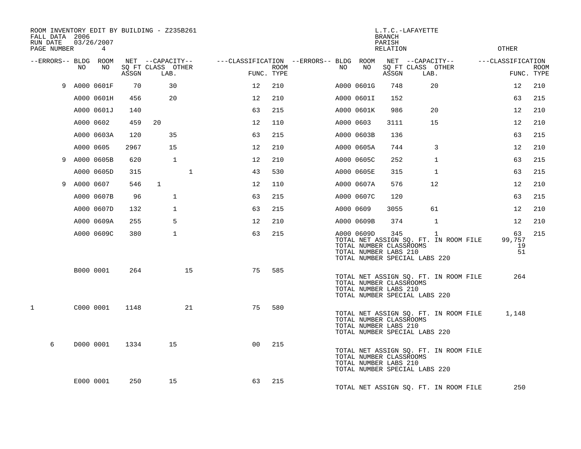| ROOM INVENTORY EDIT BY BUILDING - Z235B261<br>FALL DATA 2006<br>RUN DATE<br>PAGE NUMBER |           | 03/26/2007<br>$\overline{4}$ |       |                           |              |                |                           |                                        |           |            | L.T.C.-LAFAYETTE<br><b>BRANCH</b><br>PARISH<br><b>RELATION</b>                           |                           |                                            | <b>OTHER</b>             |                           |
|-----------------------------------------------------------------------------------------|-----------|------------------------------|-------|---------------------------|--------------|----------------|---------------------------|----------------------------------------|-----------|------------|------------------------------------------------------------------------------------------|---------------------------|--------------------------------------------|--------------------------|---------------------------|
| --ERRORS-- BLDG ROOM                                                                    |           |                              |       | NET --CAPACITY--          |              |                |                           | ---CLASSIFICATION --ERRORS-- BLDG ROOM |           |            |                                                                                          | NET --CAPACITY--          |                                            | ---CLASSIFICATION        |                           |
|                                                                                         | NO        | NO                           | ASSGN | SQ FT CLASS OTHER<br>LAB. |              |                | <b>ROOM</b><br>FUNC. TYPE |                                        | NO.       | NO         | ASSGN                                                                                    | SQ FT CLASS OTHER<br>LAB. |                                            |                          | <b>ROOM</b><br>FUNC. TYPE |
| 9                                                                                       |           | A000 0601F                   | 70    | 30                        |              | 12             | 210                       |                                        |           | A000 0601G | 748                                                                                      |                           | 20                                         | 12                       | 210                       |
|                                                                                         |           | A000 0601H                   | 456   | 20                        |              | 12             | 210                       |                                        |           | A000 0601I | 152                                                                                      |                           |                                            | 63                       | 215                       |
|                                                                                         |           | A000 0601J                   | 140   |                           |              | 63             | 215                       |                                        |           | A000 0601K | 986                                                                                      |                           | 20                                         | 12                       | 210                       |
|                                                                                         |           | A000 0602                    | 459   | 20                        |              | 12             | 110                       |                                        | A000 0603 |            | 3111                                                                                     |                           | 15                                         | 12                       | 210                       |
|                                                                                         |           | A000 0603A                   | 120   | 35                        |              | 63             | 215                       |                                        |           | A000 0603B | 136                                                                                      |                           |                                            | 63                       | 215                       |
|                                                                                         |           | A000 0605                    | 2967  | 15                        |              | 12             | 210                       |                                        |           | A000 0605A | 744                                                                                      |                           | $\overline{3}$                             | 12                       | 210                       |
|                                                                                         |           | 9 A000 0605B                 | 620   |                           | $\mathbf{1}$ | 12             | 210                       |                                        |           | A000 0605C | 252                                                                                      |                           | $\mathbf{1}$                               | 63                       | 215                       |
|                                                                                         |           | A000 0605D                   | 315   |                           | $\mathbf{1}$ | 43             | 530                       |                                        |           | A000 0605E | 315                                                                                      |                           | $\mathbf{1}$                               | 63                       | 215                       |
| 9                                                                                       | A000 0607 |                              | 546   | $\mathbf{1}$              |              | 12             | 110                       |                                        |           | A000 0607A | 576                                                                                      |                           | $12 \,$                                    | 12                       | 210                       |
|                                                                                         |           | A000 0607B                   | 96    |                           | $\mathbf{1}$ | 63             | 215                       |                                        |           | A000 0607C | 120                                                                                      |                           |                                            | 63                       | 215                       |
|                                                                                         |           | A000 0607D                   | 132   |                           | $\mathbf{1}$ | 63             | 215                       |                                        | A000 0609 |            | 3055                                                                                     |                           | 61                                         | 12                       | 210                       |
|                                                                                         |           | A000 0609A                   | 255   |                           | 5            | 12             | 210                       |                                        |           | A000 0609B | 374                                                                                      |                           | $\mathbf 1$                                | 12                       | 210                       |
|                                                                                         |           | A000 0609C                   | 380   |                           | $\mathbf{1}$ | 63             | 215                       |                                        |           | A000 0609D | 345<br>TOTAL NUMBER CLASSROOMS<br>TOTAL NUMBER LABS 210<br>TOTAL NUMBER SPECIAL LABS 220 |                           | 1<br>TOTAL NET ASSIGN SQ. FT. IN ROOM FILE | 63<br>99,757<br>19<br>51 | 215                       |
|                                                                                         |           | B000 0001                    | 264   |                           | 15           | 75             | 585                       |                                        |           |            | TOTAL NUMBER CLASSROOMS<br>TOTAL NUMBER LABS 210<br>TOTAL NUMBER SPECIAL LABS 220        |                           | TOTAL NET ASSIGN SQ. FT. IN ROOM FILE      | 264                      |                           |
| $\mathbf{1}$                                                                            |           | C000 0001                    | 1148  |                           | 21           | 75             | 580                       |                                        |           |            | TOTAL NUMBER CLASSROOMS<br>TOTAL NUMBER LABS 210<br>TOTAL NUMBER SPECIAL LABS 220        |                           | TOTAL NET ASSIGN SQ. FT. IN ROOM FILE      | 1,148                    |                           |
| 6                                                                                       |           | D000 0001                    | 1334  | 15                        |              | 0 <sup>0</sup> | 215                       |                                        |           |            | TOTAL NUMBER CLASSROOMS<br>TOTAL NUMBER LABS 210<br>TOTAL NUMBER SPECIAL LABS 220        |                           | TOTAL NET ASSIGN SQ. FT. IN ROOM FILE      |                          |                           |
|                                                                                         |           | E000 0001                    | 250   | 15                        |              | 63             | 215                       |                                        |           |            |                                                                                          |                           | TOTAL NET ASSIGN SQ. FT. IN ROOM FILE      | 250                      |                           |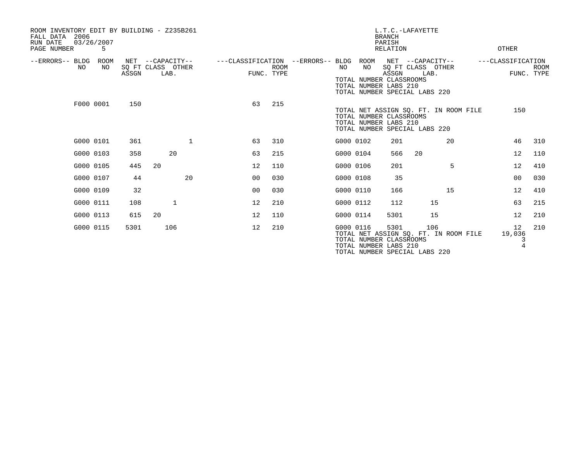| ROOM INVENTORY EDIT BY BUILDING - Z235B261<br>2006<br>FALL DATA<br>RUN DATE<br>03/26/2007<br>PAGE NUMBER | 5          |       |                                               |                                   |                           |           |                                                                | <b>BRANCH</b><br>PARISH<br>RELATION | L.T.C.-LAFAYETTE                                                               |    | OTHER                               |                           |
|----------------------------------------------------------------------------------------------------------|------------|-------|-----------------------------------------------|-----------------------------------|---------------------------|-----------|----------------------------------------------------------------|-------------------------------------|--------------------------------------------------------------------------------|----|-------------------------------------|---------------------------|
| --ERRORS-- BLDG<br>NO.                                                                                   | ROOM<br>NO | ASSGN | NET --CAPACITY--<br>SQ FT CLASS OTHER<br>LAB. | ---CLASSIFICATION --ERRORS-- BLDG | <b>ROOM</b><br>FUNC. TYPE | NO        | ROOM<br>NO<br>TOTAL NUMBER CLASSROOMS<br>TOTAL NUMBER LABS 210 | ASSGN                               | NET --CAPACITY--<br>SQ FT CLASS OTHER<br>LAB.<br>TOTAL NUMBER SPECIAL LABS 220 |    | ---CLASSIFICATION                   | <b>ROOM</b><br>FUNC. TYPE |
|                                                                                                          | F000 0001  | 150   |                                               | 63                                | 215                       |           | TOTAL NUMBER CLASSROOMS<br>TOTAL NUMBER LABS 210               |                                     | TOTAL NET ASSIGN SO. FT. IN ROOM FILE<br>TOTAL NUMBER SPECIAL LABS 220         |    | 150                                 |                           |
|                                                                                                          | G000 0101  | 361   | $\mathbf 1$                                   | 63                                | 310                       | G000 0102 |                                                                | 201                                 |                                                                                | 20 | 46                                  | 310                       |
|                                                                                                          | G000 0103  | 358   | 20                                            | 63                                | 215                       | G000 0104 |                                                                | 566                                 | 20                                                                             |    | 12                                  | 110                       |
|                                                                                                          | G000 0105  | 445   | 20                                            | 12                                | 110                       | G000 0106 |                                                                | 201                                 |                                                                                | 5  | 12                                  | 410                       |
|                                                                                                          | G000 0107  | 44    | 20                                            | 0 <sub>0</sub>                    | 030                       | G000 0108 |                                                                | 35                                  |                                                                                |    | 00                                  | 030                       |
|                                                                                                          | G000 0109  | 32    |                                               | 0 <sub>0</sub>                    | 030                       | G000 0110 |                                                                | 166                                 |                                                                                | 15 | 12                                  | 410                       |
|                                                                                                          | G000 0111  | 108   | $\mathbf{1}$                                  | 12                                | 210                       | G000 0112 |                                                                | 112                                 | 15                                                                             |    | 63                                  | 215                       |
|                                                                                                          | G000 0113  | 615   | 20                                            | 12                                | 110                       | G000 0114 |                                                                | 5301                                | 15                                                                             |    | 12                                  | 210                       |
|                                                                                                          | G000 0115  | 5301  | 106                                           | 12                                | 210                       | G000 0116 | TOTAL NUMBER CLASSROOMS<br>TOTAL NUMBER LABS 210               | 5301                                | 106<br>TOTAL NET ASSIGN SQ. FT. IN ROOM FILE<br>TOTAL NUMBER SPECIAL LABS 220  |    | 12<br>19,036<br>3<br>$\overline{4}$ | 210                       |